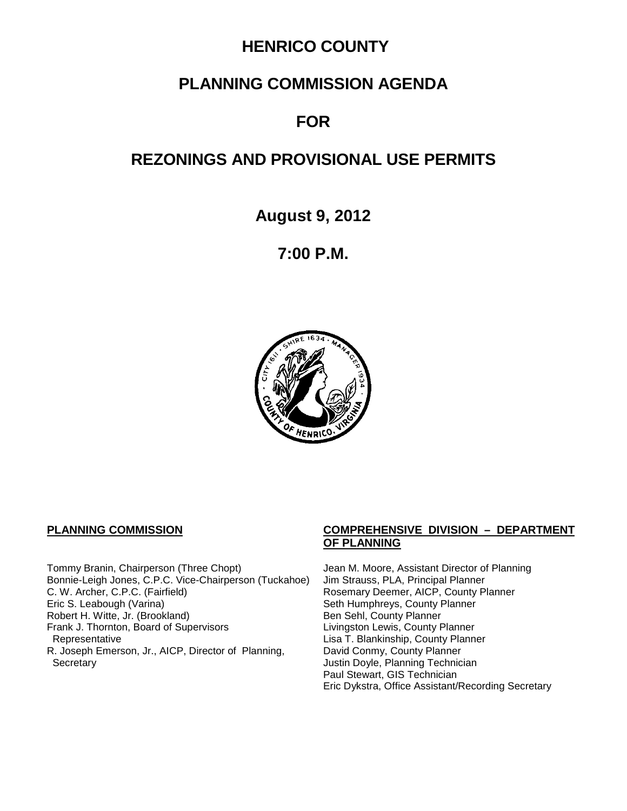## **HENRICO COUNTY**

## **PLANNING COMMISSION AGENDA**

## **FOR**

## **REZONINGS AND PROVISIONAL USE PERMITS**

**August 9, 2012**

**7:00 P.M.**



Tommy Branin, Chairperson (Three Chopt) Jean M. Moore, Assistant Director of Planning<br>Bonnie-Leigh Jones, C.P.C. Vice-Chairperson (Tuckahoe) Jim Strauss, PLA, Principal Planner Bonnie-Leigh Jones, C.P.C. Vice-Chairperson (Tuckahoe) C. W. Archer, C.P.C. (Fairfield) <br>
Eric S. Leabough (Varina) **Rosemary Deemer, AICP, County Planner**<br>
Seth Humphreys, County Planner Robert H. Witte, Jr. (Brookland) Ben Sehl, County Planner Frank J. Thornton, Board of Supervisors Representative R. Joseph Emerson, Jr., AICP, Director of Planning, Secretary **Secretary Justin Doyle, Planning Technician** 

#### **PLANNING COMMISSION COMPREHENSIVE DIVISION – DEPARTMENT OF PLANNING**

Seth Humphreys, County Planner<br>Ben Sehl, County Planner Lisa T. Blankinship, County Planner David Conmy, County Planner Paul Stewart, GIS Technician Eric Dykstra, Office Assistant/Recording Secretary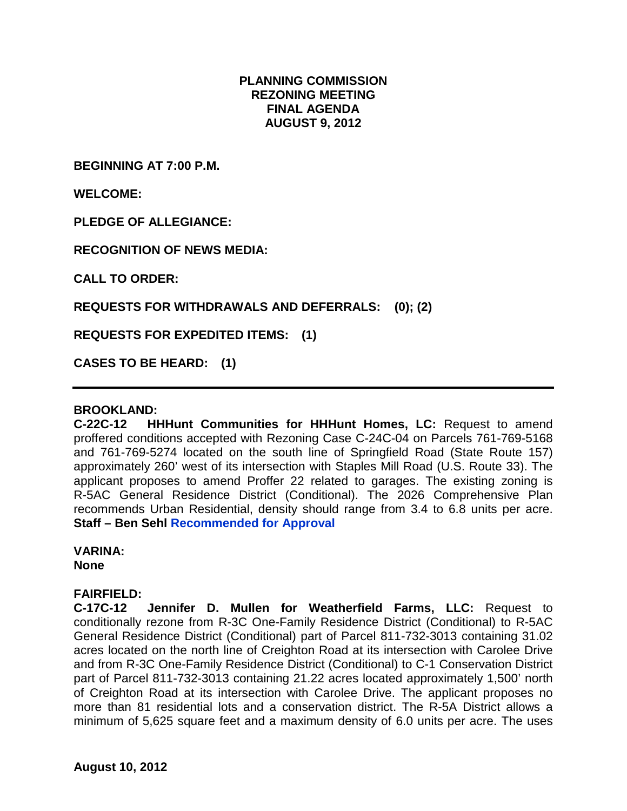#### **PLANNING COMMISSION REZONING MEETING FINAL AGENDA AUGUST 9, 2012**

**BEGINNING AT 7:00 P.M.**

**WELCOME:**

**PLEDGE OF ALLEGIANCE:**

**RECOGNITION OF NEWS MEDIA:**

**CALL TO ORDER:**

**REQUESTS FOR WITHDRAWALS AND DEFERRALS: (0); (2)**

**REQUESTS FOR EXPEDITED ITEMS: (1)**

**CASES TO BE HEARD: (1)**

#### **BROOKLAND:**

**C-22C-12 HHHunt Communities for HHHunt Homes, LC:** Request to amend proffered conditions accepted with Rezoning Case C-24C-04 on Parcels 761-769-5168 and 761-769-5274 located on the south line of Springfield Road (State Route 157) approximately 260' west of its intersection with Staples Mill Road (U.S. Route 33). The applicant proposes to amend Proffer 22 related to garages. The existing zoning is R-5AC General Residence District (Conditional). The 2026 Comprehensive Plan recommends Urban Residential, density should range from 3.4 to 6.8 units per acre. **Staff – Ben Sehl Recommended for Approval**

**VARINA: None**

# **FAIRFIELD:**

**Jennifer D. Mullen for Weatherfield Farms, LLC: Request to** conditionally rezone from R-3C One-Family Residence District (Conditional) to R-5AC General Residence District (Conditional) part of Parcel 811-732-3013 containing 31.02 acres located on the north line of Creighton Road at its intersection with Carolee Drive and from R-3C One-Family Residence District (Conditional) to C-1 Conservation District part of Parcel 811-732-3013 containing 21.22 acres located approximately 1,500' north of Creighton Road at its intersection with Carolee Drive. The applicant proposes no more than 81 residential lots and a conservation district. The R-5A District allows a minimum of 5,625 square feet and a maximum density of 6.0 units per acre. The uses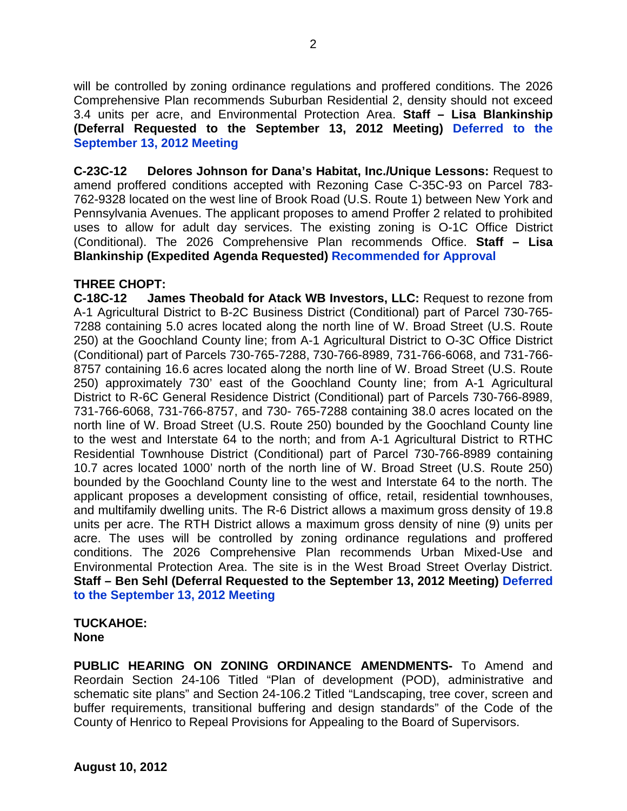will be controlled by zoning ordinance regulations and proffered conditions. The 2026 Comprehensive Plan recommends Suburban Residential 2, density should not exceed 3.4 units per acre, and Environmental Protection Area. **Staff – Lisa Blankinship (Deferral Requested to the September 13, 2012 Meeting) Deferred to the September 13, 2012 Meeting**

**C-23C-12 Delores Johnson for Dana's Habitat, Inc./Unique Lessons:** Request to amend proffered conditions accepted with Rezoning Case C-35C-93 on Parcel 783- 762-9328 located on the west line of Brook Road (U.S. Route 1) between New York and Pennsylvania Avenues. The applicant proposes to amend Proffer 2 related to prohibited uses to allow for adult day services. The existing zoning is O-1C Office District (Conditional). The 2026 Comprehensive Plan recommends Office. **Staff – Lisa Blankinship (Expedited Agenda Requested) Recommended for Approval**

### **THREE CHOPT:**

**C-18C-12 James Theobald for Atack WB Investors, LLC:** Request to rezone from A-1 Agricultural District to B-2C Business District (Conditional) part of Parcel 730-765- 7288 containing 5.0 acres located along the north line of W. Broad Street (U.S. Route 250) at the Goochland County line; from A-1 Agricultural District to O-3C Office District (Conditional) part of Parcels 730-765-7288, 730-766-8989, 731-766-6068, and 731-766- 8757 containing 16.6 acres located along the north line of W. Broad Street (U.S. Route 250) approximately 730' east of the Goochland County line; from A-1 Agricultural District to R-6C General Residence District (Conditional) part of Parcels 730-766-8989, 731-766-6068, 731-766-8757, and 730- 765-7288 containing 38.0 acres located on the north line of W. Broad Street (U.S. Route 250) bounded by the Goochland County line to the west and Interstate 64 to the north; and from A-1 Agricultural District to RTHC Residential Townhouse District (Conditional) part of Parcel 730-766-8989 containing 10.7 acres located 1000' north of the north line of W. Broad Street (U.S. Route 250) bounded by the Goochland County line to the west and Interstate 64 to the north. The applicant proposes a development consisting of office, retail, residential townhouses, and multifamily dwelling units. The R-6 District allows a maximum gross density of 19.8 units per acre. The RTH District allows a maximum gross density of nine (9) units per acre. The uses will be controlled by zoning ordinance regulations and proffered conditions. The 2026 Comprehensive Plan recommends Urban Mixed-Use and Environmental Protection Area. The site is in the West Broad Street Overlay District. **Staff – Ben Sehl (Deferral Requested to the September 13, 2012 Meeting) Deferred to the September 13, 2012 Meeting**

#### **TUCKAHOE: None**

**PUBLIC HEARING ON ZONING ORDINANCE AMENDMENTS-** To Amend and Reordain Section 24-106 Titled "Plan of development (POD), administrative and schematic site plans" and Section 24-106.2 Titled "Landscaping, tree cover, screen and buffer requirements, transitional buffering and design standards" of the Code of the County of Henrico to Repeal Provisions for Appealing to the Board of Supervisors.